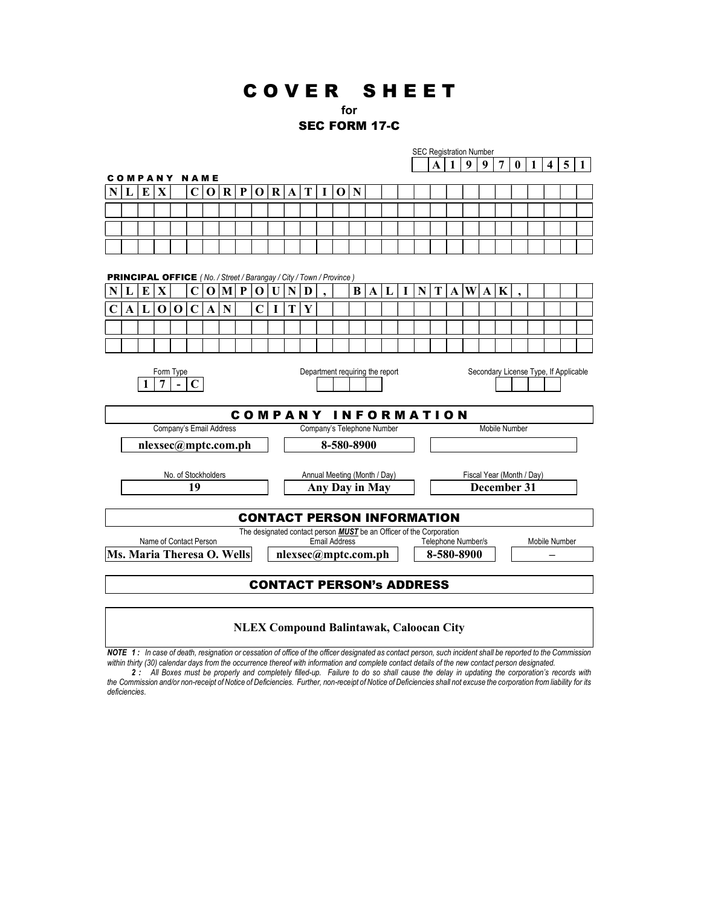# C O V E R S H E E T

# for

# SEC FORM 17-C

SEC Registration Number

|                                                                            |                                              |   |             |             |             |                     |                   |              |                                   |              |                         |                                                                                                    |          | <b>SEC Registration Number</b> |          |                                       |   |   |                                     |                           |              |                            |   |                |   |  |                         |   |  |
|----------------------------------------------------------------------------|----------------------------------------------|---|-------------|-------------|-------------|---------------------|-------------------|--------------|-----------------------------------|--------------|-------------------------|----------------------------------------------------------------------------------------------------|----------|--------------------------------|----------|---------------------------------------|---|---|-------------------------------------|---------------------------|--------------|----------------------------|---|----------------|---|--|-------------------------|---|--|
|                                                                            |                                              |   |             |             |             |                     |                   |              |                                   |              |                         |                                                                                                    |          |                                |          |                                       |   |   |                                     | A                         | $\mathbf{1}$ | 9                          | 9 | $\overline{7}$ | 0 |  | $\overline{\mathbf{4}}$ | 5 |  |
|                                                                            |                                              |   |             |             |             | <b>COMPANY NAME</b> |                   |              |                                   |              |                         |                                                                                                    |          |                                |          |                                       |   |   |                                     |                           |              |                            |   |                |   |  |                         |   |  |
|                                                                            | L                                            | E | X           |             | $\mathbf C$ | $\mathbf 0$         | R                 | $\mathbf{P}$ | 0                                 |              | $R$ $\vert$ A $\vert$ T |                                                                                                    | $\bf{I}$ | 0 N                            |          |                                       |   |   |                                     |                           |              |                            |   |                |   |  |                         |   |  |
|                                                                            |                                              |   |             |             |             |                     |                   |              |                                   |              |                         |                                                                                                    |          |                                |          |                                       |   |   |                                     |                           |              |                            |   |                |   |  |                         |   |  |
|                                                                            |                                              |   |             |             |             |                     |                   |              |                                   |              |                         |                                                                                                    |          |                                |          |                                       |   |   |                                     |                           |              |                            |   |                |   |  |                         |   |  |
|                                                                            |                                              |   |             |             |             |                     |                   |              |                                   |              |                         |                                                                                                    |          |                                |          |                                       |   |   |                                     |                           |              |                            |   |                |   |  |                         |   |  |
|                                                                            |                                              |   |             |             |             |                     |                   |              |                                   |              |                         |                                                                                                    |          |                                |          |                                       |   |   |                                     |                           |              |                            |   |                |   |  |                         |   |  |
|                                                                            |                                              |   |             |             |             |                     |                   |              |                                   |              |                         |                                                                                                    |          |                                |          |                                       |   |   |                                     |                           |              |                            |   |                |   |  |                         |   |  |
| <b>PRINCIPAL OFFICE</b> (No. / Street / Barangay / City / Town / Province) |                                              |   |             |             |             |                     |                   |              |                                   |              |                         |                                                                                                    |          |                                |          |                                       |   |   |                                     |                           |              |                            |   |                |   |  |                         |   |  |
|                                                                            | L                                            | E | $\mathbf X$ |             | $\mathbf C$ | $\mathbf 0$         | $\vert M \vert P$ |              | $\Omega$                          | $\mathbf{U}$ | $\mathbf{N}$            | D                                                                                                  |          |                                | $\bf{B}$ | $\mathbf{A}$                          | L | T | $\mathbf{N}$                        | T                         |              | $\bf{A}$ $\bf{W}$ $\bf{A}$ |   | $\mathbf K$    |   |  |                         |   |  |
| C                                                                          | A L                                          |   | $\mathbf 0$ | $\mathbf 0$ | $\mathbf C$ | A                   | N                 |              | $\mathbf C$                       | 1            | Т                       | Y                                                                                                  |          |                                |          |                                       |   |   |                                     |                           |              |                            |   |                |   |  |                         |   |  |
|                                                                            |                                              |   |             |             |             |                     |                   |              |                                   |              |                         |                                                                                                    |          |                                |          |                                       |   |   |                                     |                           |              |                            |   |                |   |  |                         |   |  |
|                                                                            |                                              |   |             |             |             |                     |                   |              |                                   |              |                         |                                                                                                    |          |                                |          |                                       |   |   |                                     |                           |              |                            |   |                |   |  |                         |   |  |
|                                                                            |                                              |   |             |             |             |                     |                   |              |                                   |              |                         |                                                                                                    |          |                                |          |                                       |   |   |                                     |                           |              |                            |   |                |   |  |                         |   |  |
|                                                                            | Department requiring the report<br>Form Type |   |             |             |             |                     |                   |              |                                   |              |                         |                                                                                                    |          |                                |          |                                       |   |   |                                     |                           |              |                            |   |                |   |  |                         |   |  |
|                                                                            | 7                                            |   |             |             |             |                     |                   |              |                                   |              |                         |                                                                                                    |          |                                |          | Secondary License Type, If Applicable |   |   |                                     |                           |              |                            |   |                |   |  |                         |   |  |
|                                                                            |                                              |   |             |             |             |                     |                   |              |                                   |              |                         |                                                                                                    |          |                                |          |                                       |   |   |                                     |                           |              |                            |   |                |   |  |                         |   |  |
| <b>COMPANY INFORMATION</b>                                                 |                                              |   |             |             |             |                     |                   |              |                                   |              |                         |                                                                                                    |          |                                |          |                                       |   |   |                                     |                           |              |                            |   |                |   |  |                         |   |  |
| Company's Email Address                                                    |                                              |   |             |             |             |                     |                   |              |                                   |              |                         | Company's Telephone Number                                                                         |          |                                |          |                                       |   |   |                                     | Mobile Number             |              |                            |   |                |   |  |                         |   |  |
| nlexsec@mptc.com.ph                                                        |                                              |   |             |             |             |                     |                   |              |                                   |              | 8-580-8900              |                                                                                                    |          |                                |          |                                       |   |   |                                     |                           |              |                            |   |                |   |  |                         |   |  |
|                                                                            |                                              |   |             |             |             |                     |                   |              |                                   |              |                         |                                                                                                    |          |                                |          |                                       |   |   |                                     |                           |              |                            |   |                |   |  |                         |   |  |
| No. of Stockholders                                                        |                                              |   |             |             |             |                     |                   |              |                                   |              |                         | Annual Meeting (Month / Day)                                                                       |          |                                |          |                                       |   |   |                                     | Fiscal Year (Month / Day) |              |                            |   |                |   |  |                         |   |  |
|                                                                            | 19                                           |   |             |             |             |                     |                   |              |                                   |              | Any Day in May          |                                                                                                    |          |                                |          |                                       |   |   |                                     | December 31               |              |                            |   |                |   |  |                         |   |  |
|                                                                            |                                              |   |             |             |             |                     |                   |              |                                   |              |                         |                                                                                                    |          |                                |          |                                       |   |   |                                     |                           |              |                            |   |                |   |  |                         |   |  |
|                                                                            |                                              |   |             |             |             |                     |                   |              | <b>CONTACT PERSON INFORMATION</b> |              |                         |                                                                                                    |          |                                |          |                                       |   |   |                                     |                           |              |                            |   |                |   |  |                         |   |  |
|                                                                            |                                              |   |             |             |             |                     |                   |              |                                   |              |                         |                                                                                                    |          |                                |          |                                       |   |   |                                     |                           |              |                            |   |                |   |  |                         |   |  |
| Name of Contact Person                                                     |                                              |   |             |             |             |                     |                   |              |                                   |              |                         | The designated contact person <b>MUST</b> be an Officer of the Corporation<br><b>Email Address</b> |          |                                |          |                                       |   |   | Telephone Number/s<br>Mobile Number |                           |              |                            |   |                |   |  |                         |   |  |
| Ms. Maria Theresa O. Wells                                                 |                                              |   |             |             |             |                     |                   |              |                                   |              |                         | nlexsec@mptc.com.ph                                                                                |          |                                |          |                                       |   |   |                                     | 8-580-8900                |              |                            |   |                |   |  |                         |   |  |
|                                                                            |                                              |   |             |             |             |                     |                   |              |                                   |              |                         |                                                                                                    |          |                                |          |                                       |   |   |                                     |                           |              |                            |   |                |   |  |                         |   |  |
|                                                                            |                                              |   |             |             |             |                     |                   |              | <b>CONTACT PERSON's ADDRESS</b>   |              |                         |                                                                                                    |          |                                |          |                                       |   |   |                                     |                           |              |                            |   |                |   |  |                         |   |  |
|                                                                            |                                              |   |             |             |             |                     |                   |              |                                   |              |                         |                                                                                                    |          |                                |          |                                       |   |   |                                     |                           |              |                            |   |                |   |  |                         |   |  |
|                                                                            |                                              |   |             |             |             |                     |                   |              |                                   |              |                         |                                                                                                    |          |                                |          |                                       |   |   |                                     |                           |              |                            |   |                |   |  |                         |   |  |

### NLEX Compound Balintawak, Caloocan City

NOTE 1: In case of death, resignation or cessation of office of the officer designated as contact person, such incident shall be reported to the Commission within thirty (30) calendar days from the occurrence thereof with information and complete contact details of the new contact person designated.

2 : All Boxes must be properly and completely filled-up. Failure to do so shall cause the delay in updating the corporation's records with the Commission and/or non-receipt of Notice of Deficiencies. Further, non-receipt of Notice of Deficiencies shall not excuse the corporation from liability for its deficiencies.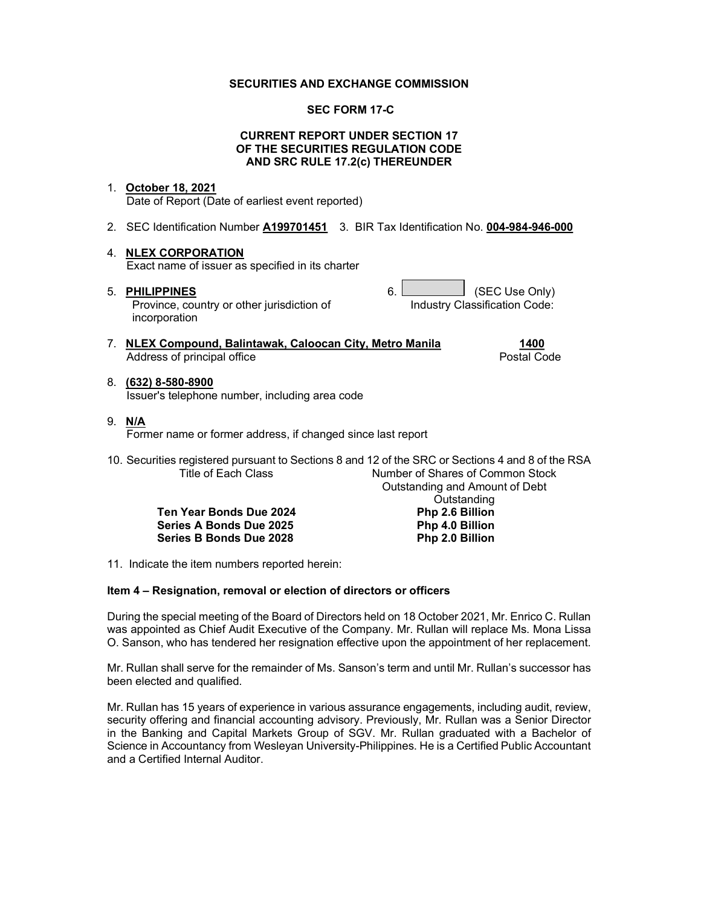#### SECURITIES AND EXCHANGE COMMISSION

#### SEC FORM 17-C

#### CURRENT REPORT UNDER SECTION 17 OF THE SECURITIES REGULATION CODE AND SRC RULE 17.2(c) THEREUNDER

#### 1. October 18, 2021

Date of Report (Date of earliest event reported)

2. SEC Identification Number A199701451 3. BIR Tax Identification No. 004-984-946-000

#### 4. NLEX CORPORATION

Exact name of issuer as specified in its charter

5. PHILIPPINES 6. CONSIDERING A GEC Use Only)

Province, country or other jurisdiction of incorporation

7. NLEX Compound, Balintawak, Caloocan City, Metro Manila 1400 Address of principal office **Postal Code** Postal Code

## 8. (632) 8-580-8900

Issuer's telephone number, including area code

9. N/A

Former name or former address, if changed since last report

10. Securities registered pursuant to Sections 8 and 12 of the SRC or Sections 4 and 8 of the RSA Number of Shares of Common Stock Outstanding and Amount of Debt

> Ten Year Bonds Due 2024 Series A Bonds Due 2025 Php 4.0 Billion Series B Bonds Due 2028 Php 2.0 Billion

11. Indicate the item numbers reported herein:

#### Item 4 – Resignation, removal or election of directors or officers

During the special meeting of the Board of Directors held on 18 October 2021, Mr. Enrico C. Rullan was appointed as Chief Audit Executive of the Company. Mr. Rullan will replace Ms. Mona Lissa O. Sanson, who has tendered her resignation effective upon the appointment of her replacement.

Mr. Rullan shall serve for the remainder of Ms. Sanson's term and until Mr. Rullan's successor has been elected and qualified.

Mr. Rullan has 15 years of experience in various assurance engagements, including audit, review, security offering and financial accounting advisory. Previously, Mr. Rullan was a Senior Director in the Banking and Capital Markets Group of SGV. Mr. Rullan graduated with a Bachelor of Science in Accountancy from Wesleyan University-Philippines. He is a Certified Public Accountant and a Certified Internal Auditor.

Industry Classification Code:

Outstanding<br>Php 2.6 Billion